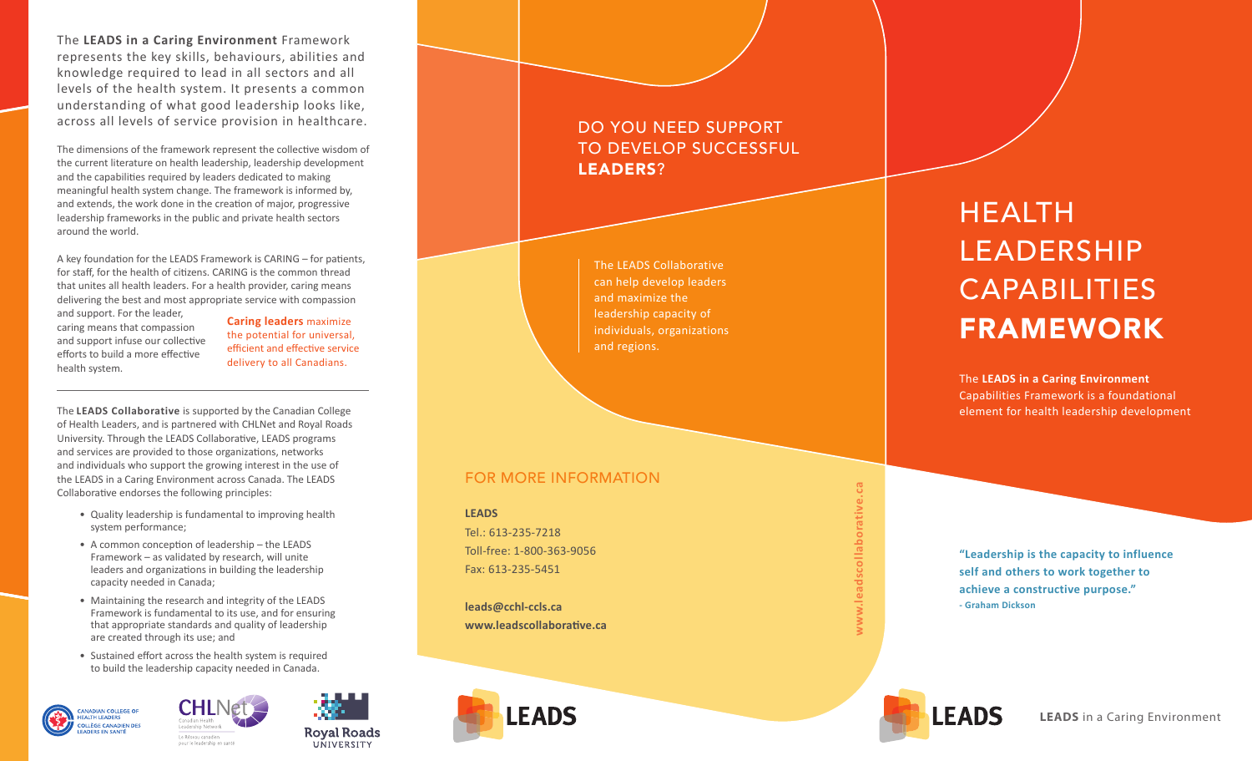The **LEADS in a Caring Environment** Framework represents the key skills, behaviours, abilities and knowledge required to lead in all sectors and all levels of the health system. It presents a common understanding of what good leadership looks like, across all levels of service provision in healthcare.

The dimensions of the framework represent the collective wisdom of the current literature on health leadership, leadership development and the capabilities required by leaders dedicated to making meaningful health system change. The framework is informed by, and extends, the work done in the creation of major, progressive leadership frameworks in the public and private health sectors around the world.

A key foundation for the LEADS Framework is CARING – for patients, for staff, for the health of citizens. CARING is the common thread that unites all health leaders. For a health provider, caring means delivering the best and most appropriate service with compassion and support. For the leader,

caring means that compassion and support infuse our collective efforts to build a more effective health system.

**Caring leaders** maximize the potential for universal, efficient and effective service delivery to all Canadians.

The **LEADS Collaborative** is supported by the Canadian College of Health Leaders, and is partnered with CHLNet and Royal Roads University. Through the LEADS Collaborative, LEADS programs and services are provided to those organizations, networks and individuals who support the growing interest in the use of the LEADS in a Caring Environment across Canada. The LEADS Collaborative endorses the following principles:

- Quality leadership is fundamental to improving health system performance;
- A common conception of leadership the LEADS Framework – as validated by research, will unite leaders and organizations in building the leadership capacity needed in Canada;
- Maintaining the research and integrity of the LEADS Framework is fundamental to its use, and for ensuring that appropriate standards and quality of leadership are created through its use; and
- Sustained effort across the health system is required to build the leadership capacity needed in Canada.







The LEADS Collaborative can help develop leaders and maximize the leadership capacity of individuals, organizations and regions.

## FOR MORE INFORMATION

**LEADS** Tel.: 613-235-7218 Toll-free: 1-800-363-9056 Fax: 613-235-5451

**leads@cchl-ccls.ca www.leadscollaborative.ca**



**www.leadscollaborative.ca** dscolla

# **HEALTH** LEADERSHIP **CAPABILITIES** FRAMEWORK

The **LEADS in a Caring Environment**  Capabilities Framework is a foundational element for health leadership development

**"Leadership is the capacity to influence self and others to work together to achieve a constructive purpose." - Graham Dickson**